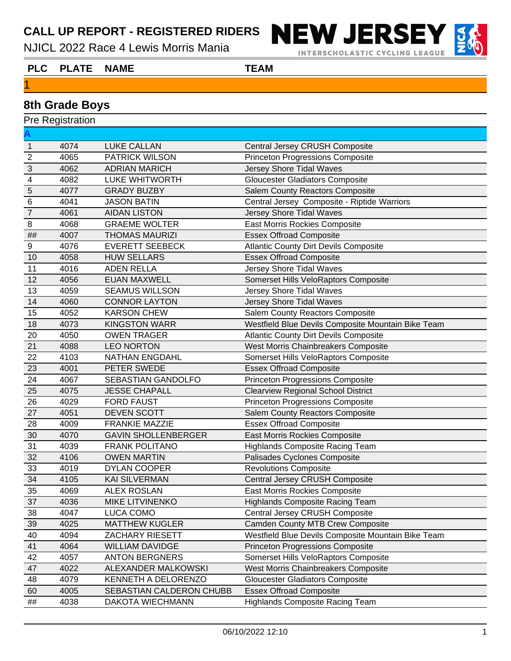NJICL 2022 Race 4 Lewis Morris Mania



**INTERSCHOLASTIC CYCLING LEAGUE** 



# **8th Grade Boys**

| <b>Pre Registration</b>   |      |                            |                                                    |  |
|---------------------------|------|----------------------------|----------------------------------------------------|--|
|                           |      |                            |                                                    |  |
| $\mathbf{1}$              | 4074 | <b>LUKE CALLAN</b>         | <b>Central Jersey CRUSH Composite</b>              |  |
| $\overline{2}$            | 4065 | <b>PATRICK WILSON</b>      | <b>Princeton Progressions Composite</b>            |  |
| $\ensuremath{\mathsf{3}}$ | 4062 | <b>ADRIAN MARICH</b>       | Jersey Shore Tidal Waves                           |  |
| $\overline{\mathbf{4}}$   | 4082 | LUKE WHITWORTH             | <b>Gloucester Gladiators Composite</b>             |  |
| $\overline{5}$            | 4077 | <b>GRADY BUZBY</b>         | Salem County Reactors Composite                    |  |
| $\,6$                     | 4041 | <b>JASON BATIN</b>         | Central Jersey Composite - Riptide Warriors        |  |
| $\overline{7}$            | 4061 | <b>AIDAN LISTON</b>        | Jersey Shore Tidal Waves                           |  |
| 8                         | 4068 | <b>GRAEME WOLTER</b>       | <b>East Morris Rockies Composite</b>               |  |
| $\# \#$                   | 4007 | <b>THOMAS MAURIZI</b>      | <b>Essex Offroad Composite</b>                     |  |
| 9                         | 4076 | <b>EVERETT SEEBECK</b>     | <b>Atlantic County Dirt Devils Composite</b>       |  |
| 10                        | 4058 | <b>HUW SELLARS</b>         | <b>Essex Offroad Composite</b>                     |  |
| 11                        | 4016 | <b>ADEN RELLA</b>          | Jersey Shore Tidal Waves                           |  |
| 12                        | 4056 | <b>EUAN MAXWELL</b>        | Somerset Hills VeloRaptors Composite               |  |
| 13                        | 4059 | <b>SEAMUS WILLSON</b>      | Jersey Shore Tidal Waves                           |  |
| 14                        | 4060 | <b>CONNOR LAYTON</b>       | Jersey Shore Tidal Waves                           |  |
| 15                        | 4052 | <b>KARSON CHEW</b>         | <b>Salem County Reactors Composite</b>             |  |
| 18                        | 4073 | <b>KINGSTON WARR</b>       | Westfield Blue Devils Composite Mountain Bike Team |  |
| 20                        | 4050 | <b>OWEN TRAGER</b>         | <b>Atlantic County Dirt Devils Composite</b>       |  |
| 21                        | 4088 | <b>LEO NORTON</b>          | West Morris Chainbreakers Composite                |  |
| 22                        | 4103 | <b>NATHAN ENGDAHL</b>      | Somerset Hills VeloRaptors Composite               |  |
| 23                        | 4001 | PETER SWEDE                | <b>Essex Offroad Composite</b>                     |  |
| 24                        | 4067 | SEBASTIAN GANDOLFO         | <b>Princeton Progressions Composite</b>            |  |
| 25                        | 4075 | <b>JESSE CHAPALL</b>       | <b>Clearview Regional School District</b>          |  |
| 26                        | 4029 | <b>FORD FAUST</b>          | <b>Princeton Progressions Composite</b>            |  |
| 27                        | 4051 | <b>DEVEN SCOTT</b>         | Salem County Reactors Composite                    |  |
| 28                        | 4009 | <b>FRANKIE MAZZIE</b>      | <b>Essex Offroad Composite</b>                     |  |
| 30                        | 4070 | <b>GAVIN SHOLLENBERGER</b> | East Morris Rockies Composite                      |  |
| 31                        | 4039 | <b>FRANK POLITANO</b>      | <b>Highlands Composite Racing Team</b>             |  |
| 32                        | 4106 | <b>OWEN MARTIN</b>         | Palisades Cyclones Composite                       |  |
| 33                        | 4019 | DYLAN COOPER               | <b>Revolutions Composite</b>                       |  |
| 34                        | 4105 | <b>KAI SILVERMAN</b>       | Central Jersey CRUSH Composite                     |  |
| 35                        | 4069 | <b>ALEX ROSLAN</b>         | East Morris Rockies Composite                      |  |
| 37                        | 4036 | <b>MIKE LITVINENKO</b>     | <b>Highlands Composite Racing Team</b>             |  |
| 38                        | 4047 | LUCA COMO                  | Central Jersey CRUSH Composite                     |  |
| 39                        | 4025 | <b>MATTHEW KUGLER</b>      | <b>Camden County MTB Crew Composite</b>            |  |
| 40                        | 4094 | ZACHARY RIESETT            | Westfield Blue Devils Composite Mountain Bike Team |  |
| 41                        | 4064 | <b>WILLIAM DAVIDGE</b>     | <b>Princeton Progressions Composite</b>            |  |
| 42                        | 4057 | <b>ANTON BERGNERS</b>      | Somerset Hills VeloRaptors Composite               |  |
| 47                        | 4022 | <b>ALEXANDER MALKOWSKI</b> | West Morris Chainbreakers Composite                |  |
| 48                        | 4079 | KENNETH A DELORENZO        | <b>Gloucester Gladiators Composite</b>             |  |
| 60                        | 4005 | SEBASTIAN CALDERON CHUBB   | <b>Essex Offroad Composite</b>                     |  |
| $\# \#$                   | 4038 | DAKOTA WIECHMANN           | <b>Highlands Composite Racing Team</b>             |  |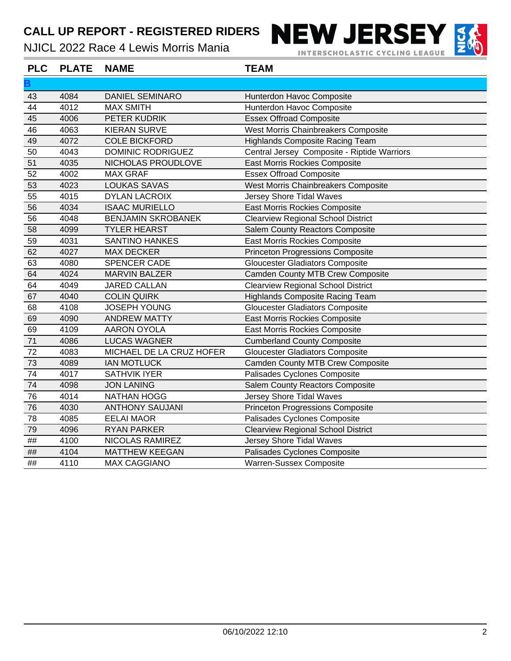NJICL 2022 Race 4 Lewis Morris Mania

**B**



**NEW JERSEY** 



43 4084 DANIEL SEMINARO Hunterdon Havoc Composite **PLC PLATE NAME TEAM**

| 44 | 4012 | <b>MAX SMITH</b>          | Hunterdon Havoc Composite                   |
|----|------|---------------------------|---------------------------------------------|
| 45 | 4006 | PETER KUDRIK              | <b>Essex Offroad Composite</b>              |
| 46 | 4063 | <b>KIERAN SURVE</b>       | West Morris Chainbreakers Composite         |
| 49 | 4072 | <b>COLE BICKFORD</b>      | <b>Highlands Composite Racing Team</b>      |
| 50 | 4043 | <b>DOMINIC RODRIGUEZ</b>  | Central Jersey Composite - Riptide Warriors |
| 51 | 4035 | NICHOLAS PROUDLOVE        | East Morris Rockies Composite               |
| 52 | 4002 | <b>MAX GRAF</b>           | <b>Essex Offroad Composite</b>              |
| 53 | 4023 | <b>LOUKAS SAVAS</b>       | West Morris Chainbreakers Composite         |
| 55 | 4015 | <b>DYLAN LACROIX</b>      | <b>Jersey Shore Tidal Waves</b>             |
| 56 | 4034 | <b>ISAAC MURIELLO</b>     | East Morris Rockies Composite               |
| 56 | 4048 | <b>BENJAMIN SKROBANEK</b> | <b>Clearview Regional School District</b>   |
| 58 | 4099 | <b>TYLER HEARST</b>       | Salem County Reactors Composite             |
| 59 | 4031 | <b>SANTINO HANKES</b>     | East Morris Rockies Composite               |
| 62 | 4027 | <b>MAX DECKER</b>         | <b>Princeton Progressions Composite</b>     |
| 63 | 4080 | SPENCER CADE              | <b>Gloucester Gladiators Composite</b>      |
| 64 | 4024 | <b>MARVIN BALZER</b>      | <b>Camden County MTB Crew Composite</b>     |
| 64 | 4049 | <b>JARED CALLAN</b>       | <b>Clearview Regional School District</b>   |
| 67 | 4040 | <b>COLIN QUIRK</b>        | <b>Highlands Composite Racing Team</b>      |
| 68 | 4108 | <b>JOSEPH YOUNG</b>       | <b>Gloucester Gladiators Composite</b>      |
| 69 | 4090 | <b>ANDREW MATTY</b>       | East Morris Rockies Composite               |
| 69 | 4109 | AARON OYOLA               | East Morris Rockies Composite               |
| 71 | 4086 | <b>LUCAS WAGNER</b>       | <b>Cumberland County Composite</b>          |
| 72 | 4083 | MICHAEL DE LA CRUZ HOFER  | Gloucester Gladiators Composite             |
| 73 | 4089 | <b>IAN MOTLUCK</b>        | <b>Camden County MTB Crew Composite</b>     |
| 74 | 4017 | <b>SATHVIK IYER</b>       | Palisades Cyclones Composite                |
| 74 | 4098 | <b>JON LANING</b>         | Salem County Reactors Composite             |
| 76 | 4014 | <b>NATHAN HOGG</b>        | Jersey Shore Tidal Waves                    |
| 76 | 4030 | <b>ANTHONY SAUJANI</b>    | <b>Princeton Progressions Composite</b>     |
| 78 | 4085 | <b>EELAI MAOR</b>         | Palisades Cyclones Composite                |
| 79 | 4096 | <b>RYAN PARKER</b>        | <b>Clearview Regional School District</b>   |
| ## | 4100 | NICOLAS RAMIREZ           | <b>Jersey Shore Tidal Waves</b>             |
| ## | 4104 | <b>MATTHEW KEEGAN</b>     | Palisades Cyclones Composite                |
| ## | 4110 | <b>MAX CAGGIANO</b>       | Warren-Sussex Composite                     |
|    |      |                           |                                             |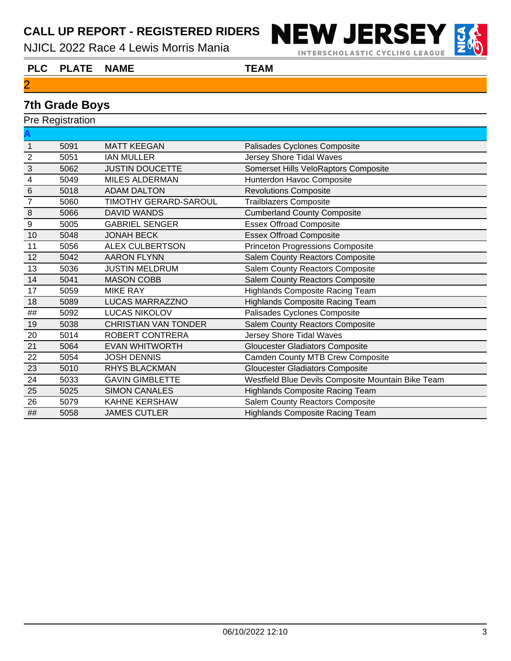NJICL 2022 Race 4 Lewis Morris Mania



**INTERSCHOLASTIC CYCLING LEAGUE** 



# **7th Grade Boys**

|                  | <b>Pre Registration</b> |                             |                                                    |  |  |
|------------------|-------------------------|-----------------------------|----------------------------------------------------|--|--|
|                  |                         |                             |                                                    |  |  |
| $\mathbf{1}$     | 5091                    | <b>MATT KEEGAN</b>          | Palisades Cyclones Composite                       |  |  |
| $\overline{2}$   | 5051                    | <b>IAN MULLER</b>           | Jersey Shore Tidal Waves                           |  |  |
| $\mathbf{3}$     | 5062                    | <b>JUSTIN DOUCETTE</b>      | Somerset Hills VeloRaptors Composite               |  |  |
| 4                | 5049                    | <b>MILES ALDERMAN</b>       | Hunterdon Havoc Composite                          |  |  |
| $\,6\,$          | 5018                    | <b>ADAM DALTON</b>          | <b>Revolutions Composite</b>                       |  |  |
| $\overline{7}$   | 5060                    | TIMOTHY GERARD-SAROUL       | <b>Trailblazers Composite</b>                      |  |  |
| $\, 8$           | 5066                    | <b>DAVID WANDS</b>          | <b>Cumberland County Composite</b>                 |  |  |
| $\boldsymbol{9}$ | 5005                    | <b>GABRIEL SENGER</b>       | <b>Essex Offroad Composite</b>                     |  |  |
| 10               | 5048                    | <b>JONAH BECK</b>           | <b>Essex Offroad Composite</b>                     |  |  |
| 11               | 5056                    | <b>ALEX CULBERTSON</b>      | <b>Princeton Progressions Composite</b>            |  |  |
| 12               | 5042                    | <b>AARON FLYNN</b>          | Salem County Reactors Composite                    |  |  |
| 13               | 5036                    | <b>JUSTIN MELDRUM</b>       | Salem County Reactors Composite                    |  |  |
| 14               | 5041                    | <b>MASON COBB</b>           | Salem County Reactors Composite                    |  |  |
| 17               | 5059                    | <b>MIKE RAY</b>             | <b>Highlands Composite Racing Team</b>             |  |  |
| 18               | 5089                    | <b>LUCAS MARRAZZNO</b>      | <b>Highlands Composite Racing Team</b>             |  |  |
| ##               | 5092                    | <b>LUCAS NIKOLOV</b>        | Palisades Cyclones Composite                       |  |  |
| 19               | 5038                    | <b>CHRISTIAN VAN TONDER</b> | Salem County Reactors Composite                    |  |  |
| 20               | 5014                    | ROBERT CONTRERA             | Jersey Shore Tidal Waves                           |  |  |
| 21               | 5064                    | <b>EVAN WHITWORTH</b>       | <b>Gloucester Gladiators Composite</b>             |  |  |
| 22               | 5054                    | <b>JOSH DENNIS</b>          | <b>Camden County MTB Crew Composite</b>            |  |  |
| 23               | 5010                    | <b>RHYS BLACKMAN</b>        | <b>Gloucester Gladiators Composite</b>             |  |  |
| 24               | 5033                    | <b>GAVIN GIMBLETTE</b>      | Westfield Blue Devils Composite Mountain Bike Team |  |  |
| 25               | 5025                    | <b>SIMON CANALES</b>        | <b>Highlands Composite Racing Team</b>             |  |  |
| 26               | 5079                    | <b>KAHNE KERSHAW</b>        | Salem County Reactors Composite                    |  |  |
| ##               | 5058                    | <b>JAMES CUTLER</b>         | <b>Highlands Composite Racing Team</b>             |  |  |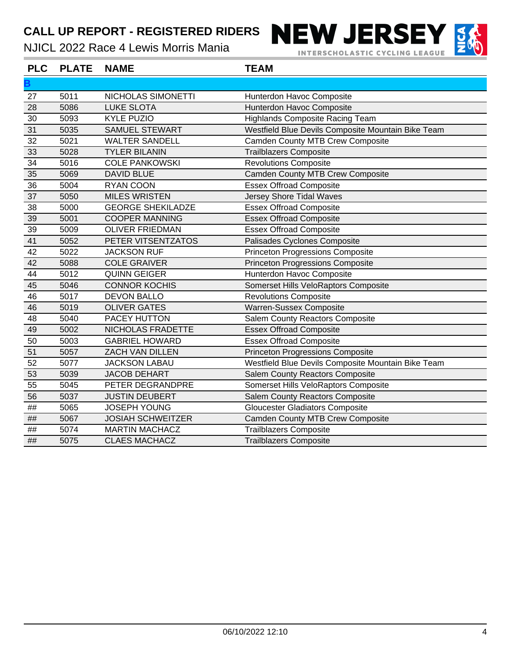NJICL 2022 Race 4 Lewis Morris Mania

**INTERSCHOLASTIC CYCLING LEAGUE** 

**NEW JERSEY** 



**PLC PLATE NAME TEAM**

| B       |      |                          |                                                    |
|---------|------|--------------------------|----------------------------------------------------|
| 27      | 5011 | NICHOLAS SIMONETTI       | Hunterdon Havoc Composite                          |
| 28      | 5086 | <b>LUKE SLOTA</b>        | Hunterdon Havoc Composite                          |
| 30      | 5093 | <b>KYLE PUZIO</b>        | <b>Highlands Composite Racing Team</b>             |
| 31      | 5035 | <b>SAMUEL STEWART</b>    | Westfield Blue Devils Composite Mountain Bike Team |
| 32      | 5021 | <b>WALTER SANDELL</b>    | <b>Camden County MTB Crew Composite</b>            |
| 33      | 5028 | <b>TYLER BILANIN</b>     | <b>Trailblazers Composite</b>                      |
| 34      | 5016 | <b>COLE PANKOWSKI</b>    | <b>Revolutions Composite</b>                       |
| 35      | 5069 | <b>DAVID BLUE</b>        | <b>Camden County MTB Crew Composite</b>            |
| 36      | 5004 | <b>RYAN COON</b>         | <b>Essex Offroad Composite</b>                     |
| 37      | 5050 | <b>MILES WRISTEN</b>     | <b>Jersey Shore Tidal Waves</b>                    |
| 38      | 5000 | <b>GEORGE SHEKILADZE</b> | <b>Essex Offroad Composite</b>                     |
| 39      | 5001 | <b>COOPER MANNING</b>    | <b>Essex Offroad Composite</b>                     |
| 39      | 5009 | <b>OLIVER FRIEDMAN</b>   | <b>Essex Offroad Composite</b>                     |
| 41      | 5052 | PETER VITSENTZATOS       | Palisades Cyclones Composite                       |
| 42      | 5022 | <b>JACKSON RUF</b>       | <b>Princeton Progressions Composite</b>            |
| 42      | 5088 | <b>COLE GRAIVER</b>      | <b>Princeton Progressions Composite</b>            |
| 44      | 5012 | <b>QUINN GEIGER</b>      | Hunterdon Havoc Composite                          |
| 45      | 5046 | <b>CONNOR KOCHIS</b>     | Somerset Hills VeloRaptors Composite               |
| 46      | 5017 | <b>DEVON BALLO</b>       | <b>Revolutions Composite</b>                       |
| 46      | 5019 | <b>OLIVER GATES</b>      | Warren-Sussex Composite                            |
| 48      | 5040 | PACEY HUTTON             | <b>Salem County Reactors Composite</b>             |
| 49      | 5002 | NICHOLAS FRADETTE        | <b>Essex Offroad Composite</b>                     |
| 50      | 5003 | <b>GABRIEL HOWARD</b>    | <b>Essex Offroad Composite</b>                     |
| 51      | 5057 | <b>ZACH VAN DILLEN</b>   | <b>Princeton Progressions Composite</b>            |
| 52      | 5077 | <b>JACKSON LABAU</b>     | Westfield Blue Devils Composite Mountain Bike Team |
| 53      | 5039 | <b>JACOB DEHART</b>      | Salem County Reactors Composite                    |
| 55      | 5045 | PETER DEGRANDPRE         | Somerset Hills VeloRaptors Composite               |
| 56      | 5037 | <b>JUSTIN DEUBERT</b>    | <b>Salem County Reactors Composite</b>             |
| $\# \#$ | 5065 | <b>JOSEPH YOUNG</b>      | <b>Gloucester Gladiators Composite</b>             |
| ##      | 5067 | <b>JOSIAH SCHWEITZER</b> | <b>Camden County MTB Crew Composite</b>            |
| ##      | 5074 | <b>MARTIN MACHACZ</b>    | <b>Trailblazers Composite</b>                      |
| ##      | 5075 | <b>CLAES MACHACZ</b>     | <b>Trailblazers Composite</b>                      |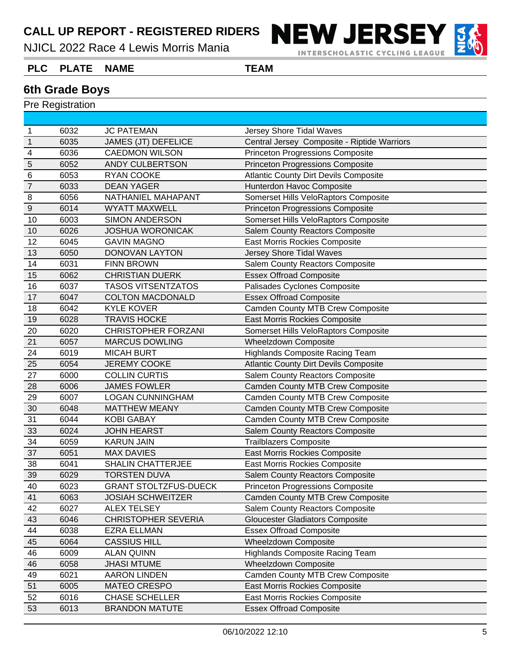NJICL 2022 Race 4 Lewis Morris Mania



**INTERSCHOLASTIC CYCLING LEAGUE** 

#### **PLC PLATE NAME TEAM**

#### **6th Grade Boys**

| 1                | 6032 | <b>JC PATEMAN</b>            | Jersey Shore Tidal Waves                     |
|------------------|------|------------------------------|----------------------------------------------|
| $\mathbf{1}$     | 6035 | <b>JAMES (JT) DEFELICE</b>   | Central Jersey Composite - Riptide Warriors  |
| $\overline{4}$   | 6036 | <b>CAEDMON WILSON</b>        | <b>Princeton Progressions Composite</b>      |
| 5                | 6052 | <b>ANDY CULBERTSON</b>       | <b>Princeton Progressions Composite</b>      |
| 6                | 6053 | RYAN COOKE                   | <b>Atlantic County Dirt Devils Composite</b> |
| $\overline{7}$   | 6033 | <b>DEAN YAGER</b>            | Hunterdon Havoc Composite                    |
| $\, 8$           | 6056 | NATHANIEL MAHAPANT           | Somerset Hills VeloRaptors Composite         |
| $\boldsymbol{9}$ | 6014 | <b>WYATT MAXWELL</b>         | <b>Princeton Progressions Composite</b>      |
| 10               | 6003 | <b>SIMON ANDERSON</b>        | Somerset Hills VeloRaptors Composite         |
| 10               | 6026 | <b>JOSHUA WORONICAK</b>      | Salem County Reactors Composite              |
| 12               | 6045 | <b>GAVIN MAGNO</b>           | East Morris Rockies Composite                |
| 13               | 6050 | <b>DONOVAN LAYTON</b>        | Jersey Shore Tidal Waves                     |
| 14               | 6031 | <b>FINN BROWN</b>            | <b>Salem County Reactors Composite</b>       |
| 15               | 6062 | <b>CHRISTIAN DUERK</b>       | <b>Essex Offroad Composite</b>               |
| 16               | 6037 | <b>TASOS VITSENTZATOS</b>    | Palisades Cyclones Composite                 |
| 17               | 6047 | <b>COLTON MACDONALD</b>      | <b>Essex Offroad Composite</b>               |
| 18               | 6042 | <b>KYLE KOVER</b>            | <b>Camden County MTB Crew Composite</b>      |
| 19               | 6028 | <b>TRAVIS HOCKE</b>          | <b>East Morris Rockies Composite</b>         |
| 20               | 6020 | <b>CHRISTOPHER FORZANI</b>   | Somerset Hills VeloRaptors Composite         |
| 21               | 6057 | <b>MARCUS DOWLING</b>        | <b>Wheelzdown Composite</b>                  |
| 24               | 6019 | <b>MICAH BURT</b>            | <b>Highlands Composite Racing Team</b>       |
| 25               | 6054 | <b>JEREMY COOKE</b>          | <b>Atlantic County Dirt Devils Composite</b> |
| 27               | 6000 | <b>COLLIN CURTIS</b>         | <b>Salem County Reactors Composite</b>       |
| 28               | 6006 | <b>JAMES FOWLER</b>          | <b>Camden County MTB Crew Composite</b>      |
| 29               | 6007 | <b>LOGAN CUNNINGHAM</b>      | <b>Camden County MTB Crew Composite</b>      |
| 30               | 6048 | <b>MATTHEW MEANY</b>         | <b>Camden County MTB Crew Composite</b>      |
| 31               | 6044 | <b>KOBI GABAY</b>            | <b>Camden County MTB Crew Composite</b>      |
| 33               | 6024 | <b>JOHN HEARST</b>           | <b>Salem County Reactors Composite</b>       |
| 34               | 6059 | <b>KARUN JAIN</b>            | <b>Trailblazers Composite</b>                |
| 37               | 6051 | <b>MAX DAVIES</b>            | East Morris Rockies Composite                |
| 38               | 6041 | <b>SHALIN CHATTERJEE</b>     | East Morris Rockies Composite                |
| 39               | 6029 | <b>TORSTEN DUVA</b>          | <b>Salem County Reactors Composite</b>       |
| 40               | 6023 | <b>GRANT STOLTZFUS-DUECK</b> | <b>Princeton Progressions Composite</b>      |
| 41               | 6063 | <b>JOSIAH SCHWEITZER</b>     | <b>Camden County MTB Crew Composite</b>      |
| 42               | 6027 | <b>ALEX TELSEY</b>           | <b>Salem County Reactors Composite</b>       |
| 43               | 6046 | <b>CHRISTOPHER SEVERIA</b>   | <b>Gloucester Gladiators Composite</b>       |
| 44               | 6038 | <b>EZRA ELLMAN</b>           | <b>Essex Offroad Composite</b>               |
| 45               | 6064 | <b>CASSIUS HILL</b>          | <b>Wheelzdown Composite</b>                  |
| 46               | 6009 | <b>ALAN QUINN</b>            | <b>Highlands Composite Racing Team</b>       |
| 46               | 6058 | <b>JHASI MTUME</b>           | Wheelzdown Composite                         |
| 49               | 6021 | <b>AARON LINDEN</b>          | <b>Camden County MTB Crew Composite</b>      |
| 51               | 6005 | <b>MATEO CRESPO</b>          | East Morris Rockies Composite                |
| 52               | 6016 | <b>CHASE SCHELLER</b>        | East Morris Rockies Composite                |
| 53               | 6013 | <b>BRANDON MATUTE</b>        | <b>Essex Offroad Composite</b>               |
|                  |      |                              |                                              |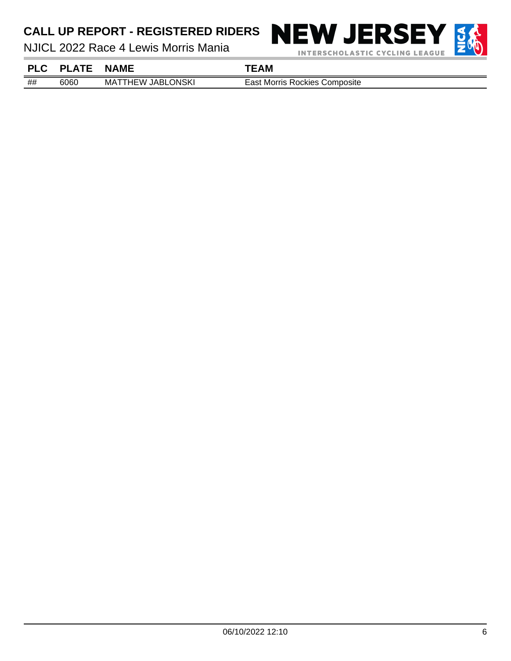NJICL 2022 Race 4 Lewis Morris Mania



## 6060 MATTHEW JABLONSKI East Morris Rockies Composite **PLC PLATE NAME TEAM**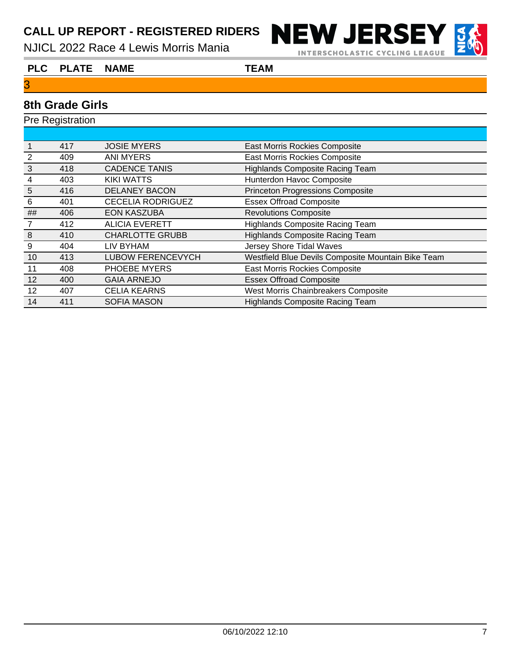NJICL 2022 Race 4 Lewis Morris Mania



**INTERSCHOLASTIC CYCLING LEAGUE** 



#### **PLC PLATE NAME TEAM**

#### **8th Grade Girls**

|                  | <b>Pre Registration</b> |                          |                                                    |  |  |  |
|------------------|-------------------------|--------------------------|----------------------------------------------------|--|--|--|
|                  |                         |                          |                                                    |  |  |  |
|                  | 417                     | <b>JOSIE MYERS</b>       | East Morris Rockies Composite                      |  |  |  |
| $\overline{2}$   | 409                     | <b>ANI MYERS</b>         | East Morris Rockies Composite                      |  |  |  |
| 3                | 418                     | <b>CADENCE TANIS</b>     | <b>Highlands Composite Racing Team</b>             |  |  |  |
| 4                | 403                     | KIKI WATTS               | Hunterdon Havoc Composite                          |  |  |  |
| $\sqrt{5}$       | 416                     | <b>DELANEY BACON</b>     | <b>Princeton Progressions Composite</b>            |  |  |  |
| 6                | 401                     | <b>CECELIA RODRIGUEZ</b> | <b>Essex Offroad Composite</b>                     |  |  |  |
| ##               | 406                     | <b>EON KASZUBA</b>       | <b>Revolutions Composite</b>                       |  |  |  |
| $\overline{7}$   | 412                     | <b>ALICIA EVERETT</b>    | <b>Highlands Composite Racing Team</b>             |  |  |  |
| $\boldsymbol{8}$ | 410                     | <b>CHARLOTTE GRUBB</b>   | <b>Highlands Composite Racing Team</b>             |  |  |  |
| 9                | 404                     | LIV BYHAM                | <b>Jersey Shore Tidal Waves</b>                    |  |  |  |
| 10               | 413                     | <b>LUBOW FERENCEVYCH</b> | Westfield Blue Devils Composite Mountain Bike Team |  |  |  |
| 11               | 408                     | PHOEBE MYERS             | <b>East Morris Rockies Composite</b>               |  |  |  |
| 12               | 400                     | <b>GAIA ARNEJO</b>       | <b>Essex Offroad Composite</b>                     |  |  |  |
| 12               | 407                     | <b>CELIA KEARNS</b>      | West Morris Chainbreakers Composite                |  |  |  |
| 14               | 411                     | <b>SOFIA MASON</b>       | <b>Highlands Composite Racing Team</b>             |  |  |  |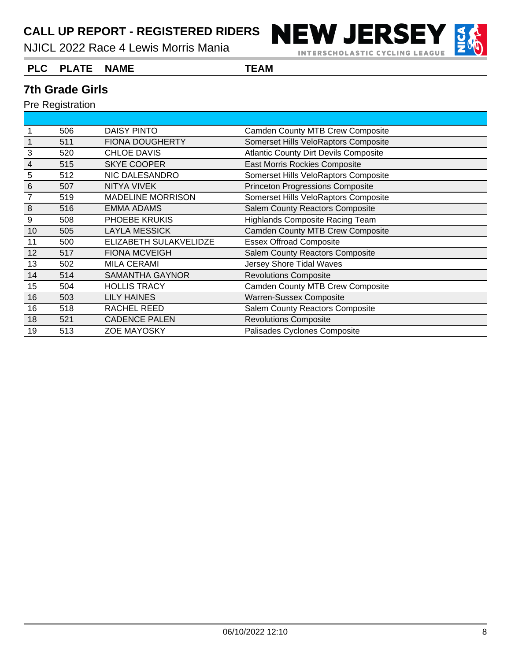NJICL 2022 Race 4 Lewis Morris Mania



**INTERSCHOLASTIC CYCLING LEAGUE** 

#### **PLC PLATE NAME TEAM**

#### **7th Grade Girls**

|                | 506 | DAISY PINTO              | <b>Camden County MTB Crew Composite</b>      |
|----------------|-----|--------------------------|----------------------------------------------|
|                | 511 | <b>FIONA DOUGHERTY</b>   | Somerset Hills VeloRaptors Composite         |
| 3              | 520 | <b>CHLOE DAVIS</b>       | <b>Atlantic County Dirt Devils Composite</b> |
| $\overline{4}$ | 515 | <b>SKYE COOPER</b>       | <b>East Morris Rockies Composite</b>         |
| 5              | 512 | NIC DALESANDRO           | Somerset Hills VeloRaptors Composite         |
| $\,6$          | 507 | <b>NITYA VIVEK</b>       | <b>Princeton Progressions Composite</b>      |
| $\overline{7}$ | 519 | <b>MADELINE MORRISON</b> | Somerset Hills VeloRaptors Composite         |
| 8              | 516 | <b>EMMA ADAMS</b>        | <b>Salem County Reactors Composite</b>       |
| 9              | 508 | PHOEBE KRUKIS            | <b>Highlands Composite Racing Team</b>       |
| 10             | 505 | <b>LAYLA MESSICK</b>     | <b>Camden County MTB Crew Composite</b>      |
| 11             | 500 | ELIZABETH SULAKVELIDZE   | <b>Essex Offroad Composite</b>               |
| 12             | 517 | <b>FIONA MCVEIGH</b>     | <b>Salem County Reactors Composite</b>       |
| 13             | 502 | <b>MILA CERAMI</b>       | Jersey Shore Tidal Waves                     |
| 14             | 514 | <b>SAMANTHA GAYNOR</b>   | <b>Revolutions Composite</b>                 |
| 15             | 504 | <b>HOLLIS TRACY</b>      | <b>Camden County MTB Crew Composite</b>      |
| 16             | 503 | <b>LILY HAINES</b>       | <b>Warren-Sussex Composite</b>               |
| 16             | 518 | RACHEL REED              | <b>Salem County Reactors Composite</b>       |
| 18             | 521 | <b>CADENCE PALEN</b>     | <b>Revolutions Composite</b>                 |
| 19             | 513 | <b>ZOE MAYOSKY</b>       | Palisades Cyclones Composite                 |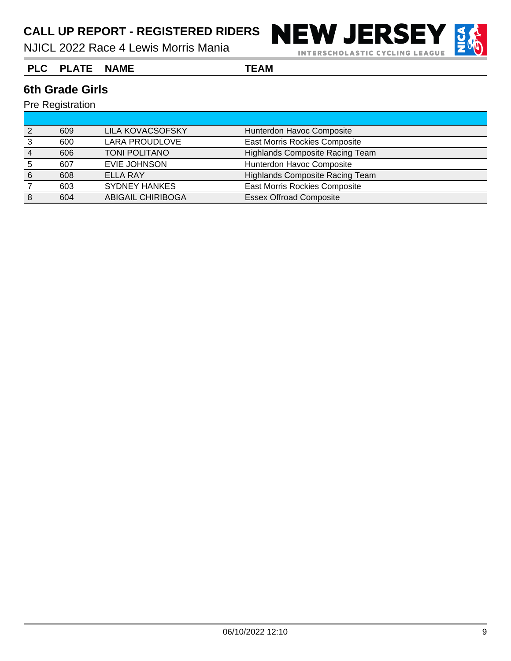NJICL 2022 Race 4 Lewis Morris Mania



**INTERSCHOLASTIC CYCLING LEAGUE** 

**PLC PLATE NAME TEAM**

#### **6th Grade Girls**

|   | 609 | <b>LILA KOVACSOFSKY</b>  | Hunterdon Havoc Composite              |
|---|-----|--------------------------|----------------------------------------|
|   | 600 | <b>LARA PROUDLOVE</b>    | East Morris Rockies Composite          |
|   | 606 | <b>TONI POLITANO</b>     | Highlands Composite Racing Team        |
|   | 607 | EVIE JOHNSON             | Hunterdon Havoc Composite              |
| 6 | 608 | ELLA RAY                 | <b>Highlands Composite Racing Team</b> |
|   | 603 | <b>SYDNEY HANKES</b>     | <b>East Morris Rockies Composite</b>   |
|   | 604 | <b>ABIGAIL CHIRIBOGA</b> | <b>Essex Offroad Composite</b>         |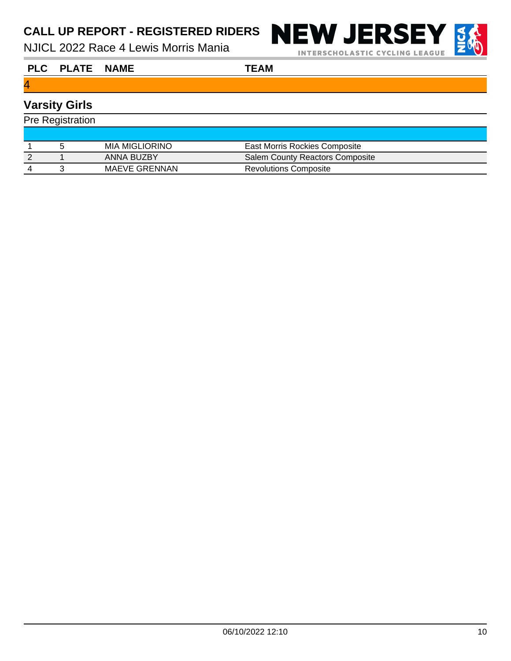NJICL 2022 Race 4 Lewis Morris Mania



**INTERSCHOLASTIC CYCLING LEAGUE** 

**PLC PLATE NAME TEAM**

#### 4

# **Varsity Girls**

| <b>Pre Registration</b> |  |                |                                        |  |
|-------------------------|--|----------------|----------------------------------------|--|
|                         |  |                |                                        |  |
|                         |  | MIA MIGLIORINO | East Morris Rockies Composite          |  |
|                         |  | ANNA BUZBY     | <b>Salem County Reactors Composite</b> |  |
|                         |  | MAEVE GRENNAN  | <b>Revolutions Composite</b>           |  |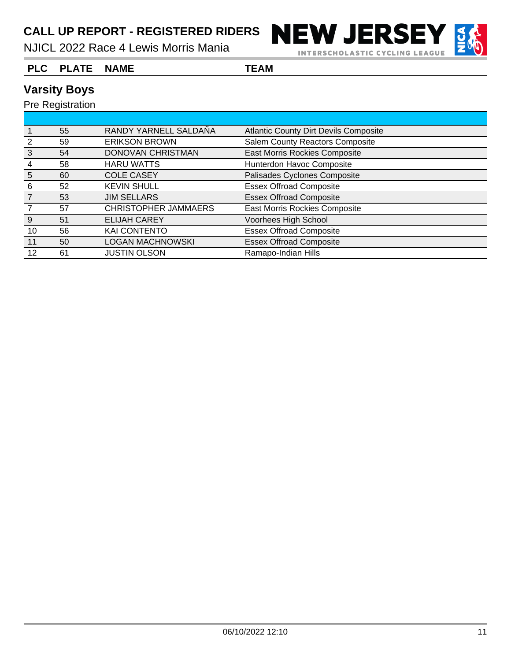NJICL 2022 Race 4 Lewis Morris Mania





#### **PLC PLATE NAME TEAM**

#### **Varsity Boys**

|    | 55 | RANDY YARNELL SALDAÑA       | <b>Atlantic County Dirt Devils Composite</b> |  |
|----|----|-----------------------------|----------------------------------------------|--|
|    | 59 | <b>ERIKSON BROWN</b>        | <b>Salem County Reactors Composite</b>       |  |
| 3  | 54 | DONOVAN CHRISTMAN           | <b>East Morris Rockies Composite</b>         |  |
|    | 58 | <b>HARU WATTS</b>           | Hunterdon Havoc Composite                    |  |
| 5  | 60 | <b>COLE CASEY</b>           | Palisades Cyclones Composite                 |  |
| 6  | 52 | <b>KEVIN SHULL</b>          | <b>Essex Offroad Composite</b>               |  |
|    | 53 | <b>JIM SELLARS</b>          | <b>Essex Offroad Composite</b>               |  |
|    | 57 | <b>CHRISTOPHER JAMMAERS</b> | East Morris Rockies Composite                |  |
| 9  | 51 | <b>ELIJAH CAREY</b>         | Voorhees High School                         |  |
| 10 | 56 | <b>KAI CONTENTO</b>         | <b>Essex Offroad Composite</b>               |  |
| 11 | 50 | <b>LOGAN MACHNOWSKI</b>     | <b>Essex Offroad Composite</b>               |  |
| 12 | 61 | <b>JUSTIN OLSON</b>         | Ramapo-Indian Hills                          |  |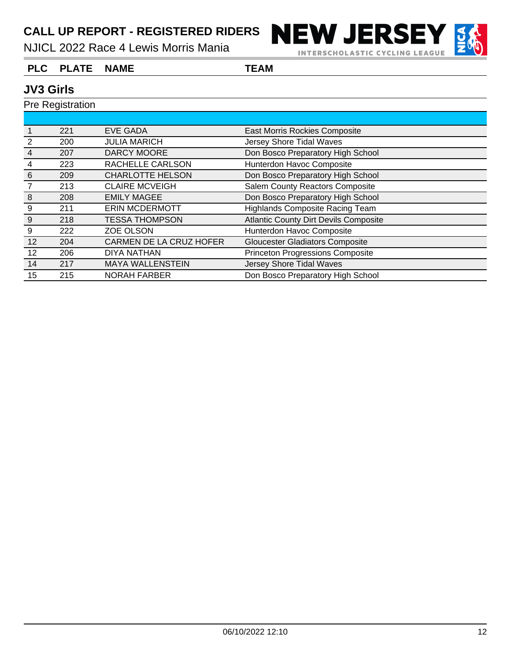NJICL 2022 Race 4 Lewis Morris Mania



#### **PLC PLATE NAME TEAM**

#### **JV3 Girls**

|    | 221 | <b>EVE GADA</b>         | East Morris Rockies Composite                |
|----|-----|-------------------------|----------------------------------------------|
| 2  | 200 | <b>JULIA MARICH</b>     | Jersey Shore Tidal Waves                     |
| 4  | 207 | <b>DARCY MOORE</b>      | Don Bosco Preparatory High School            |
| 4  | 223 | RACHELLE CARLSON        | Hunterdon Havoc Composite                    |
| 6  | 209 | <b>CHARLOTTE HELSON</b> | Don Bosco Preparatory High School            |
|    | 213 | <b>CLAIRE MCVEIGH</b>   | <b>Salem County Reactors Composite</b>       |
| 8  | 208 | <b>EMILY MAGEE</b>      | Don Bosco Preparatory High School            |
| 9  | 211 | <b>ERIN MCDERMOTT</b>   | <b>Highlands Composite Racing Team</b>       |
| 9  | 218 | <b>TESSA THOMPSON</b>   | <b>Atlantic County Dirt Devils Composite</b> |
| 9  | 222 | <b>ZOE OLSON</b>        | Hunterdon Havoc Composite                    |
| 12 | 204 | CARMEN DE LA CRUZ HOFER | <b>Gloucester Gladiators Composite</b>       |
| 12 | 206 | <b>DIYA NATHAN</b>      | <b>Princeton Progressions Composite</b>      |
| 14 | 217 | <b>MAYA WALLENSTEIN</b> | Jersey Shore Tidal Waves                     |
| 15 | 215 | <b>NORAH FARBER</b>     | Don Bosco Preparatory High School            |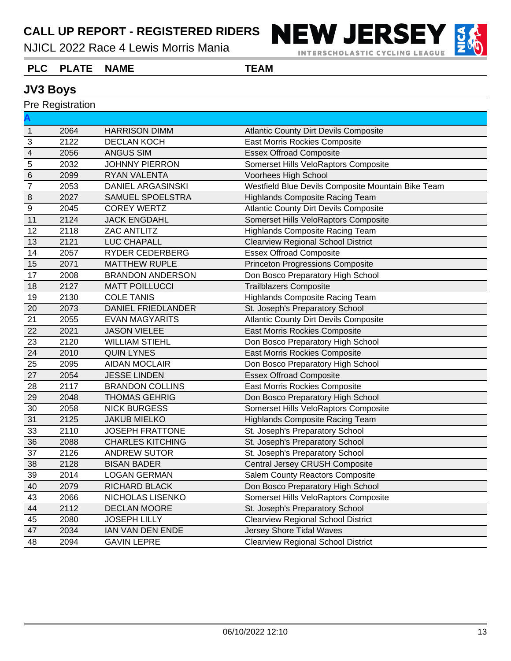NJICL 2022 Race 4 Lewis Morris Mania



INTERSCHOLASTIC CYCLING LEAGUE

#### **PLC PLATE NAME TEAM**

#### **JV3 Boys**

|                         | <b>Pre Registration</b> |                           |                                                    |
|-------------------------|-------------------------|---------------------------|----------------------------------------------------|
|                         |                         |                           |                                                    |
| $\mathbf{1}$            | 2064                    | <b>HARRISON DIMM</b>      | <b>Atlantic County Dirt Devils Composite</b>       |
| $\overline{3}$          | 2122                    | <b>DECLAN KOCH</b>        | East Morris Rockies Composite                      |
| $\overline{\mathbf{4}}$ | 2056                    | <b>ANGUS SIM</b>          | <b>Essex Offroad Composite</b>                     |
| $\sqrt{5}$              | 2032                    | <b>JOHNNY PIERRON</b>     | Somerset Hills VeloRaptors Composite               |
| $\,$ 6 $\,$             | 2099                    | RYAN VALENTA              | Voorhees High School                               |
| $\overline{7}$          | 2053                    | <b>DANIEL ARGASINSKI</b>  | Westfield Blue Devils Composite Mountain Bike Team |
| $\,8\,$                 | 2027                    | SAMUEL SPOELSTRA          | <b>Highlands Composite Racing Team</b>             |
| $9$                     | 2045                    | <b>COREY WERTZ</b>        | <b>Atlantic County Dirt Devils Composite</b>       |
| 11                      | 2124                    | <b>JACK ENGDAHL</b>       | Somerset Hills VeloRaptors Composite               |
| 12                      | 2118                    | <b>ZAC ANTLITZ</b>        | <b>Highlands Composite Racing Team</b>             |
| 13                      | 2121                    | LUC CHAPALL               | <b>Clearview Regional School District</b>          |
| 14                      | 2057                    | <b>RYDER CEDERBERG</b>    | <b>Essex Offroad Composite</b>                     |
| 15                      | 2071                    | <b>MATTHEW RUPLE</b>      | <b>Princeton Progressions Composite</b>            |
| 17                      | 2008                    | <b>BRANDON ANDERSON</b>   | Don Bosco Preparatory High School                  |
| 18                      | 2127                    | <b>MATT POILLUCCI</b>     | <b>Trailblazers Composite</b>                      |
| 19                      | 2130                    | <b>COLE TANIS</b>         | <b>Highlands Composite Racing Team</b>             |
| 20                      | 2073                    | <b>DANIEL FRIEDLANDER</b> | St. Joseph's Preparatory School                    |
| 21                      | 2055                    | <b>EVAN MAGYARITS</b>     | <b>Atlantic County Dirt Devils Composite</b>       |
| 22                      | 2021                    | <b>JASON VIELEE</b>       | East Morris Rockies Composite                      |
| 23                      | 2120                    | <b>WILLIAM STIEHL</b>     | Don Bosco Preparatory High School                  |
| 24                      | 2010                    | <b>QUIN LYNES</b>         | East Morris Rockies Composite                      |
| 25                      | 2095                    | <b>AIDAN MOCLAIR</b>      | Don Bosco Preparatory High School                  |
| 27                      | 2054                    | <b>JESSE LINDEN</b>       | <b>Essex Offroad Composite</b>                     |
| 28                      | 2117                    | <b>BRANDON COLLINS</b>    | East Morris Rockies Composite                      |
| 29                      | 2048                    | <b>THOMAS GEHRIG</b>      | Don Bosco Preparatory High School                  |
| 30                      | 2058                    | <b>NICK BURGESS</b>       | Somerset Hills VeloRaptors Composite               |
| 31                      | 2125                    | <b>JAKUB MIELKO</b>       | <b>Highlands Composite Racing Team</b>             |
| 33                      | 2110                    | JOSEPH FRATTONE           | St. Joseph's Preparatory School                    |
| 36                      | 2088                    | <b>CHARLES KITCHING</b>   | St. Joseph's Preparatory School                    |
| 37                      | 2126                    | <b>ANDREW SUTOR</b>       | St. Joseph's Preparatory School                    |
| 38                      | 2128                    | <b>BISAN BADER</b>        | Central Jersey CRUSH Composite                     |
| $39\,$                  | 2014                    | <b>LOGAN GERMAN</b>       | Salem County Reactors Composite                    |
| 40                      | 2079                    | RICHARD BLACK             | Don Bosco Preparatory High School                  |
| 43                      | 2066                    | NICHOLAS LISENKO          | Somerset Hills VeloRaptors Composite               |
| 44                      | 2112                    | <b>DECLAN MOORE</b>       | St. Joseph's Preparatory School                    |
| 45                      | 2080                    | <b>JOSEPH LILLY</b>       | <b>Clearview Regional School District</b>          |
| 47                      | 2034                    | IAN VAN DEN ENDE          | Jersey Shore Tidal Waves                           |
| 48                      | 2094                    | <b>GAVIN LEPRE</b>        | <b>Clearview Regional School District</b>          |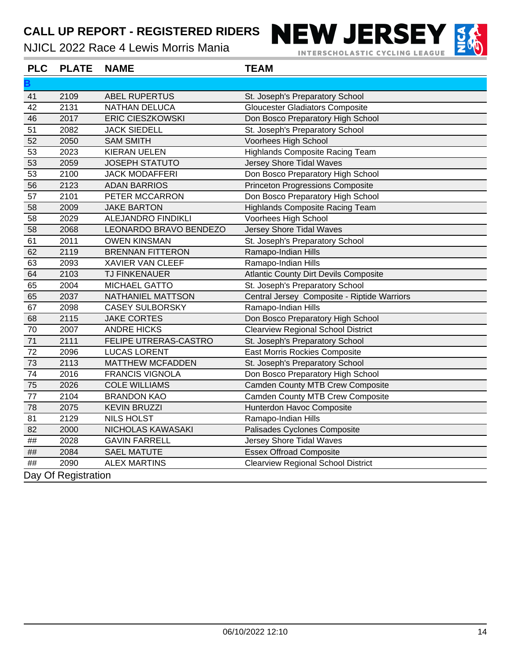# CALL UP REPORT - REGISTERED RIDERS NEW JERSEY

NJICL 2022 Race 4 Lewis Morris Mania

**INTERSCHOLASTIC CYCLING LEAGUE** 



**B** 2109 ABEL RUPERTUS St. Joseph's Preparatory School 2131 NATHAN DELUCA Gloucester Gladiators Composite 2017 ERIC CIESZKOWSKI Don Bosco Preparatory High School 51 2082 JACK SIEDELL St. Joseph's Preparatory School 2050 SAM SMITH Voorhees High School 2023 KIERAN UELEN Highlands Composite Racing Team 2059 JOSEPH STATUTO Jersey Shore Tidal Waves 53 2100 JACK MODAFFERI Don Bosco Preparatory High School 2123 ADAN BARRIOS Princeton Progressions Composite 2101 PETER MCCARRON Don Bosco Preparatory High School 2009 JAKE BARTON Highlands Composite Racing Team 2029 ALEJANDRO FINDIKLI Voorhees High School 2068 LEONARDO BRAVO BENDEZO Jersey Shore Tidal Waves 2011 OWEN KINSMAN St. Joseph's Preparatory School 2119 BRENNAN FITTERON Ramapo-Indian Hills 63 2093 XAVIER VAN CLEEF Ramapo-Indian Hills 64 2103 TJ FINKENAUER Atlantic County Dirt Devils Composite 65 2004 MICHAEL GATTO St. Joseph's Preparatory School 2037 NATHANIEL MATTSON Central Jersey Composite - Riptide Warriors 2098 CASEY SULBORSKY Ramapo-Indian Hills 2115 JAKE CORTES Don Bosco Preparatory High School 2007 ANDRE HICKS Clearview Regional School District 2111 FELIPE UTRERAS-CASTRO St. Joseph's Preparatory School 2096 LUCAS LORENT East Morris Rockies Composite 2113 MATTHEW MCFADDEN St. Joseph's Preparatory School 2016 FRANCIS VIGNOLA Don Bosco Preparatory High School 2026 COLE WILLIAMS Camden County MTB Crew Composite 2104 BRANDON KAO Camden County MTB Crew Composite 78 2075 KEVIN BRUZZI Hunterdon Havoc Composite 81 2129 NILS HOLST Ramapo-Indian Hills 2000 NICHOLAS KAWASAKI Palisades Cyclones Composite ## 2028 GAVIN FARRELL Jersey Shore Tidal Waves ## 2084 SAEL MATUTE Essex Offroad Composite ## 2090 ALEX MARTINS Clearview Regional School District Day Of Registration **PLC PLATE NAME TEAM**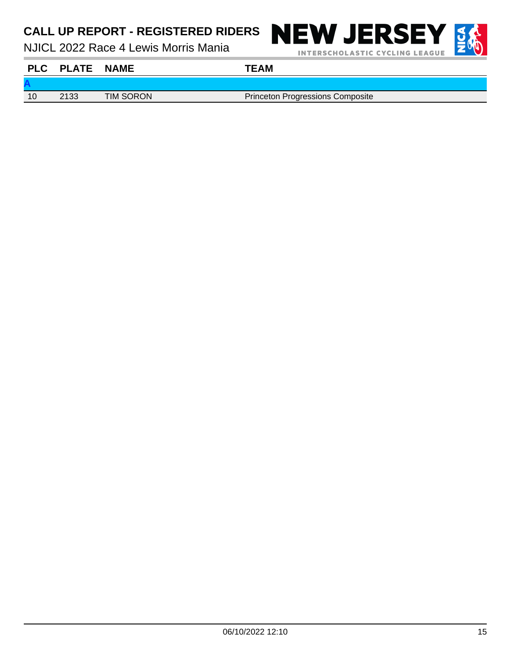NJICL 2022 Race 4 Lewis Morris Mania



**INTERSCHOLASTIC CYCLING LEAGUE** 



**A** 10 2133 TIM SORON Princeton Progressions Composite **PLC PLATE NAME TEAM**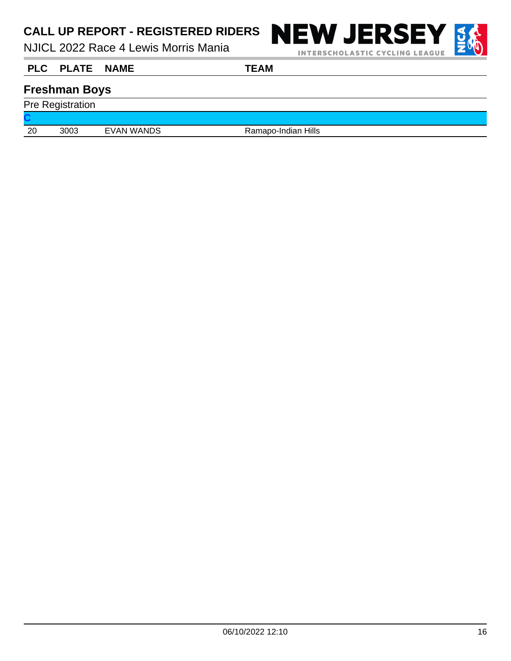NJICL 2022 Race 4 Lewis Morris Mania



**INTERSCHOLASTIC CYCLING LEAGUE** 

**PLC PLATE NAME TEAM**

#### **Freshman Boys**

Pre Registration

**C**

20 3003 EVAN WANDS Ramapo-Indian Hills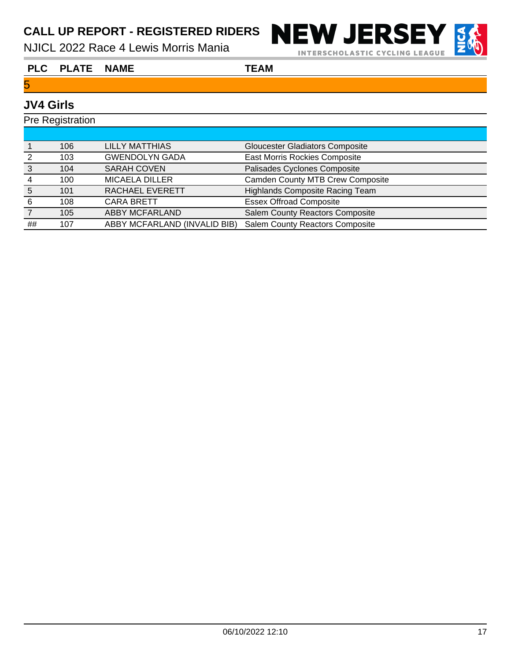NJICL 2022 Race 4 Lewis Morris Mania



**INTERSCHOLASTIC CYCLING LEAGUE** 

#### **PLC PLATE NAME TEAM**

#### 5

#### **JV4 Girls**

| <b>Pre Registration</b> |     |                              |                                         |
|-------------------------|-----|------------------------------|-----------------------------------------|
|                         |     |                              |                                         |
|                         | 106 | <b>LILLY MATTHIAS</b>        | <b>Gloucester Gladiators Composite</b>  |
| 2                       | 103 | <b>GWENDOLYN GADA</b>        | East Morris Rockies Composite           |
| 3                       | 104 | <b>SARAH COVEN</b>           | Palisades Cyclones Composite            |
| 4                       | 100 | <b>MICAELA DILLER</b>        | <b>Camden County MTB Crew Composite</b> |
| 5                       | 101 | RACHAEL EVERETT              | <b>Highlands Composite Racing Team</b>  |
| -6                      | 108 | <b>CARA BRETT</b>            | <b>Essex Offroad Composite</b>          |
|                         | 105 | <b>ABBY MCFARLAND</b>        | <b>Salem County Reactors Composite</b>  |
| ##                      | 107 | ABBY MCFARLAND (INVALID BIB) | Salem County Reactors Composite         |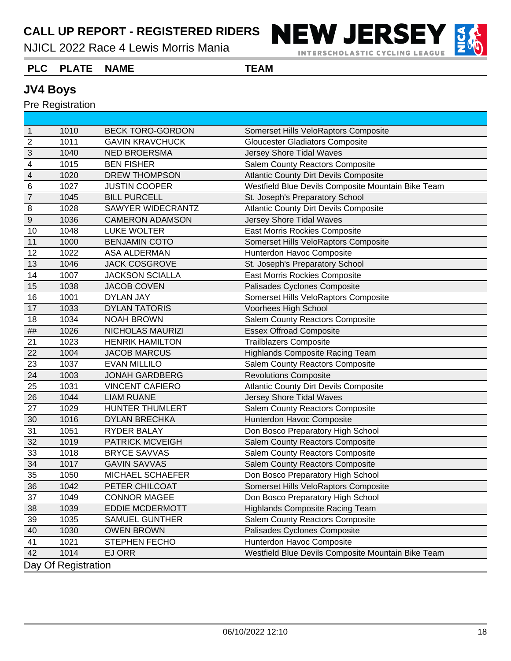NJICL 2022 Race 4 Lewis Morris Mania



**INTERSCHOLASTIC CYCLING LEAGUE** 

#### **PLC PLATE NAME TEAM**

#### **JV4 Boys**

| $\overline{1}$ | 1010                | <b>BECK TORO-GORDON</b> | Somerset Hills VeloRaptors Composite               |
|----------------|---------------------|-------------------------|----------------------------------------------------|
| $\overline{2}$ | 1011                | <b>GAVIN KRAVCHUCK</b>  | <b>Gloucester Gladiators Composite</b>             |
| $\overline{3}$ | 1040                | <b>NED BROERSMA</b>     | <b>Jersey Shore Tidal Waves</b>                    |
| $\overline{4}$ | 1015                | <b>BEN FISHER</b>       | <b>Salem County Reactors Composite</b>             |
| $\overline{4}$ | 1020                | <b>DREW THOMPSON</b>    | <b>Atlantic County Dirt Devils Composite</b>       |
| $\,6$          | 1027                | <b>JUSTIN COOPER</b>    | Westfield Blue Devils Composite Mountain Bike Team |
| $\overline{7}$ | 1045                | <b>BILL PURCELL</b>     | St. Joseph's Preparatory School                    |
| $\, 8$         | 1028                | SAWYER WIDECRANTZ       | <b>Atlantic County Dirt Devils Composite</b>       |
| $\overline{9}$ | 1036                | <b>CAMERON ADAMSON</b>  | <b>Jersey Shore Tidal Waves</b>                    |
| 10             | 1048                | <b>LUKE WOLTER</b>      | East Morris Rockies Composite                      |
| 11             | 1000                | <b>BENJAMIN COTO</b>    | Somerset Hills VeloRaptors Composite               |
| 12             | 1022                | <b>ASA ALDERMAN</b>     | Hunterdon Havoc Composite                          |
| 13             | 1046                | <b>JACK COSGROVE</b>    | St. Joseph's Preparatory School                    |
| 14             | 1007                | <b>JACKSON SCIALLA</b>  | <b>East Morris Rockies Composite</b>               |
| 15             | 1038                | <b>JACOB COVEN</b>      | Palisades Cyclones Composite                       |
| 16             | 1001                | <b>DYLAN JAY</b>        | Somerset Hills VeloRaptors Composite               |
| 17             | 1033                | <b>DYLAN TATORIS</b>    | Voorhees High School                               |
| 18             | 1034                | <b>NOAH BROWN</b>       | Salem County Reactors Composite                    |
| $\# \#$        | 1026                | <b>NICHOLAS MAURIZI</b> | <b>Essex Offroad Composite</b>                     |
| 21             | 1023                | <b>HENRIK HAMILTON</b>  | <b>Trailblazers Composite</b>                      |
| 22             | 1004                | <b>JACOB MARCUS</b>     | <b>Highlands Composite Racing Team</b>             |
| 23             | 1037                | <b>EVAN MILLILO</b>     | <b>Salem County Reactors Composite</b>             |
| 24             | 1003                | <b>JONAH GARDBERG</b>   | <b>Revolutions Composite</b>                       |
| 25             | 1031                | <b>VINCENT CAFIERO</b>  | <b>Atlantic County Dirt Devils Composite</b>       |
| 26             | 1044                | <b>LIAM RUANE</b>       | Jersey Shore Tidal Waves                           |
| 27             | 1029                | HUNTER THUMLERT         | Salem County Reactors Composite                    |
| 30             | 1016                | <b>DYLAN BRECHKA</b>    | Hunterdon Havoc Composite                          |
| 31             | 1051                | <b>RYDER BALAY</b>      | Don Bosco Preparatory High School                  |
| 32             | 1019                | <b>PATRICK MCVEIGH</b>  | Salem County Reactors Composite                    |
| 33             | 1018                | <b>BRYCE SAVVAS</b>     | Salem County Reactors Composite                    |
| 34             | 1017                | <b>GAVIN SAVVAS</b>     | <b>Salem County Reactors Composite</b>             |
| 35             | 1050                | MICHAEL SCHAEFER        | Don Bosco Preparatory High School                  |
| 36             | 1042                | PETER CHILCOAT          | Somerset Hills VeloRaptors Composite               |
| 37             | 1049                | <b>CONNOR MAGEE</b>     | Don Bosco Preparatory High School                  |
| 38             | 1039                | <b>EDDIE MCDERMOTT</b>  | <b>Highlands Composite Racing Team</b>             |
| 39             | 1035                | <b>SAMUEL GUNTHER</b>   | Salem County Reactors Composite                    |
| 40             | 1030                | <b>OWEN BROWN</b>       | Palisades Cyclones Composite                       |
| 41             | 1021                | STEPHEN FECHO           | Hunterdon Havoc Composite                          |
| 42             | 1014                | EJ ORR                  | Westfield Blue Devils Composite Mountain Bike Team |
|                | Day Of Registration |                         |                                                    |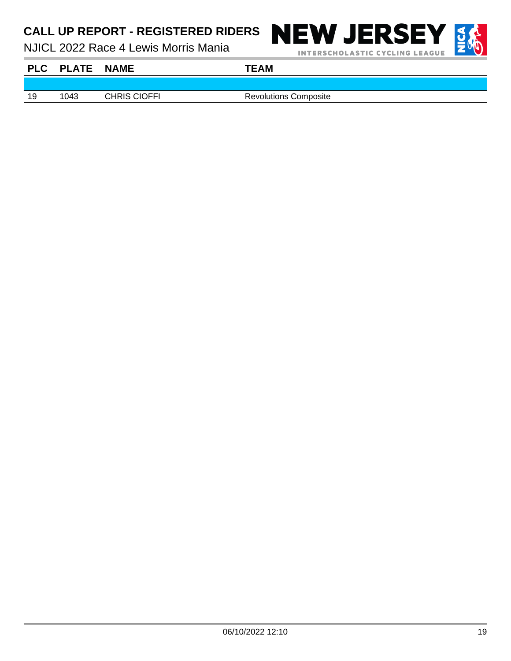NJICL 2022 Race 4 Lewis Morris Mania



**INTERSCHOLASTIC CYCLING LEAGUE** 



**PLC PLATE NAME TEAM**

19 1043 CHRIS CIOFFI Revolutions Composite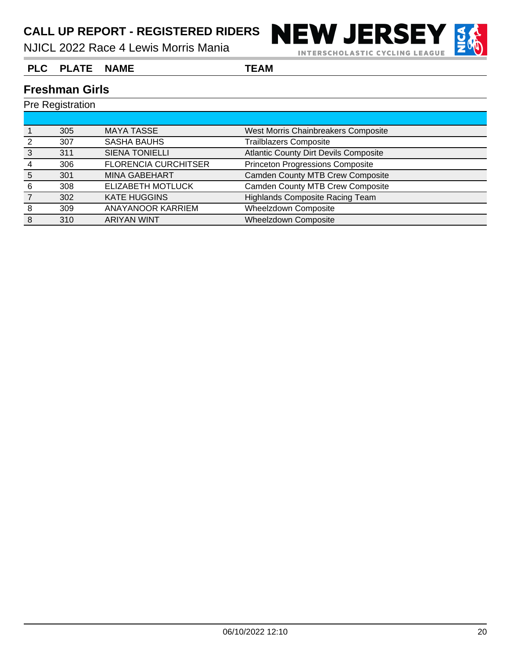NJICL 2022 Race 4 Lewis Morris Mania



#### **PLC PLATE NAME TEAM**

#### **Freshman Girls**

|   | 305 | <b>MAYA TASSE</b>           | West Morris Chainbreakers Composite          |
|---|-----|-----------------------------|----------------------------------------------|
|   | 307 | <b>SASHA BAUHS</b>          | <b>Trailblazers Composite</b>                |
|   | 311 | <b>SIENA TONIELLI</b>       | <b>Atlantic County Dirt Devils Composite</b> |
|   | 306 | <b>FLORENCIA CURCHITSER</b> | <b>Princeton Progressions Composite</b>      |
| 5 | 301 | <b>MINA GABEHART</b>        | <b>Camden County MTB Crew Composite</b>      |
| 6 | 308 | ELIZABETH MOTLUCK           | <b>Camden County MTB Crew Composite</b>      |
|   | 302 | <b>KATE HUGGINS</b>         | <b>Highlands Composite Racing Team</b>       |
| 8 | 309 | <b>ANAYANOOR KARRIEM</b>    | Wheelzdown Composite                         |
| 8 | 310 | <b>ARIYAN WINT</b>          | <b>Wheelzdown Composite</b>                  |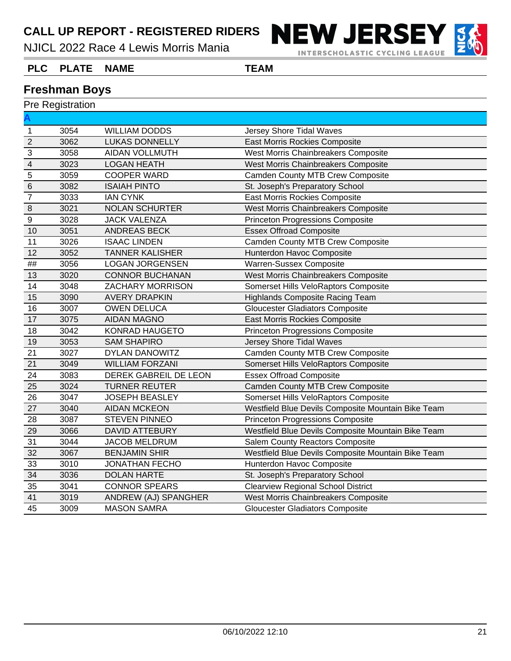NJICL 2022 Race 4 Lewis Morris Mania



**INTERSCHOLASTIC CYCLING LEAGUE** 

#### **PLC PLATE NAME TEAM**

#### **Freshman Boys**

|                         | Pre Registration |                        |                                                    |
|-------------------------|------------------|------------------------|----------------------------------------------------|
|                         |                  |                        |                                                    |
| $\mathbf{1}$            | 3054             | <b>WILLIAM DODDS</b>   | Jersey Shore Tidal Waves                           |
| $\overline{2}$          | 3062             | <b>LUKAS DONNELLY</b>  | <b>East Morris Rockies Composite</b>               |
| $\overline{3}$          | 3058             | <b>AIDAN VOLLMUTH</b>  | West Morris Chainbreakers Composite                |
| $\overline{\mathbf{4}}$ | 3023             | <b>LOGAN HEATH</b>     | West Morris Chainbreakers Composite                |
| 5                       | 3059             | <b>COOPER WARD</b>     | <b>Camden County MTB Crew Composite</b>            |
| $\,$ 6                  | 3082             | <b>ISAIAH PINTO</b>    | St. Joseph's Preparatory School                    |
| $\overline{7}$          | 3033             | <b>IAN CYNK</b>        | <b>East Morris Rockies Composite</b>               |
| $\boldsymbol{8}$        | 3021             | <b>NOLAN SCHURTER</b>  | West Morris Chainbreakers Composite                |
| $\overline{9}$          | 3028             | <b>JACK VALENZA</b>    | <b>Princeton Progressions Composite</b>            |
| 10                      | 3051             | <b>ANDREAS BECK</b>    | <b>Essex Offroad Composite</b>                     |
| 11                      | 3026             | <b>ISAAC LINDEN</b>    | <b>Camden County MTB Crew Composite</b>            |
| 12                      | 3052             | <b>TANNER KALISHER</b> | Hunterdon Havoc Composite                          |
| $\# \#$                 | 3056             | <b>LOGAN JORGENSEN</b> | Warren-Sussex Composite                            |
| 13                      | 3020             | <b>CONNOR BUCHANAN</b> | West Morris Chainbreakers Composite                |
| 14                      | 3048             | ZACHARY MORRISON       | Somerset Hills VeloRaptors Composite               |
| 15                      | 3090             | <b>AVERY DRAPKIN</b>   | <b>Highlands Composite Racing Team</b>             |
| 16                      | 3007             | <b>OWEN DELUCA</b>     | <b>Gloucester Gladiators Composite</b>             |
| 17                      | 3075             | <b>AIDAN MAGNO</b>     | <b>East Morris Rockies Composite</b>               |
| 18                      | 3042             | KONRAD HAUGETO         | <b>Princeton Progressions Composite</b>            |
| 19                      | 3053             | <b>SAM SHAPIRO</b>     | Jersey Shore Tidal Waves                           |
| 21                      | 3027             | DYLAN DANOWITZ         | <b>Camden County MTB Crew Composite</b>            |
| 21                      | 3049             | <b>WILLIAM FORZANI</b> | Somerset Hills VeloRaptors Composite               |
| 24                      | 3083             | DEREK GABREIL DE LEON  | <b>Essex Offroad Composite</b>                     |
| 25                      | 3024             | <b>TURNER REUTER</b>   | <b>Camden County MTB Crew Composite</b>            |
| 26                      | 3047             | <b>JOSEPH BEASLEY</b>  | Somerset Hills VeloRaptors Composite               |
| 27                      | 3040             | <b>AIDAN MCKEON</b>    | Westfield Blue Devils Composite Mountain Bike Team |
| 28                      | 3087             | <b>STEVEN PINNEO</b>   | <b>Princeton Progressions Composite</b>            |
| 29                      | 3066             | <b>DAVID ATTEBURY</b>  | Westfield Blue Devils Composite Mountain Bike Team |
| 31                      | 3044             | <b>JACOB MELDRUM</b>   | Salem County Reactors Composite                    |
| 32                      | 3067             | <b>BENJAMIN SHIR</b>   | Westfield Blue Devils Composite Mountain Bike Team |
| 33                      | 3010             | <b>JONATHAN FECHO</b>  | Hunterdon Havoc Composite                          |
| 34                      | 3036             | <b>DOLAN HARTE</b>     | St. Joseph's Preparatory School                    |
| 35                      | 3041             | <b>CONNOR SPEARS</b>   | <b>Clearview Regional School District</b>          |
| 41                      | 3019             | ANDREW (AJ) SPANGHER   | West Morris Chainbreakers Composite                |
| 45                      | 3009             | <b>MASON SAMRA</b>     | <b>Gloucester Gladiators Composite</b>             |